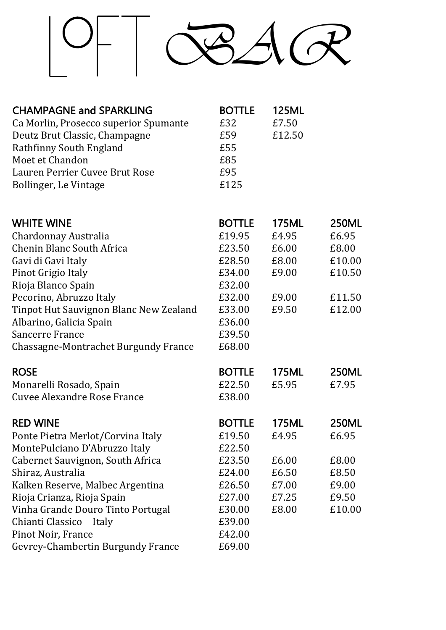

| <b>CHAMPAGNE and SPARKLING</b>        | <b>BOTTLE</b> | <b>125ML</b> |
|---------------------------------------|---------------|--------------|
| Ca Morlin, Prosecco superior Spumante | £32           | £7.50        |
| Deutz Brut Classic, Champagne         | £59           | £12.50       |
| Rathfinny South England               | £55           |              |
| Moet et Chandon                       | £85           |              |
| Lauren Perrier Cuvee Brut Rose        | £95           |              |
| Bollinger, Le Vintage                 | £125          |              |

| <b>WHITE WINE</b>                           | <b>BOTTLE</b> | <b>175ML</b> | <b>250ML</b> |
|---------------------------------------------|---------------|--------------|--------------|
| Chardonnay Australia                        | £19.95        | £4.95        | £6.95        |
| <b>Chenin Blanc South Africa</b>            | £23.50        | £6.00        | £8.00        |
| Gavi di Gavi Italy                          | £28.50        | £8.00        | £10.00       |
| Pinot Grigio Italy                          | £34.00        | £9.00        | £10.50       |
| Rioja Blanco Spain                          | £32.00        |              |              |
| Pecorino, Abruzzo Italy                     | £32.00        | £9.00        | £11.50       |
| Tinpot Hut Sauvignon Blanc New Zealand      | £33.00        | £9.50        | £12.00       |
| Albarino, Galicia Spain                     | £36.00        |              |              |
| <b>Sancerre France</b>                      | £39.50        |              |              |
| <b>Chassagne-Montrachet Burgundy France</b> | £68.00        |              |              |
| <b>ROSE</b>                                 | <b>BOTTLE</b> | <b>175ML</b> | <b>250ML</b> |
| Monarelli Rosado, Spain                     | £22.50        | £5.95        | £7.95        |
| <b>Cuvee Alexandre Rose France</b>          | £38.00        |              |              |
| <b>RED WINE</b>                             | <b>BOTTLE</b> | <b>175ML</b> | <b>250ML</b> |
| Ponte Pietra Merlot/Corvina Italy           | £19.50        | £4.95        | £6.95        |
| MontePulciano D'Abruzzo Italy               | £22.50        |              |              |
| <b>Cabernet Sauvignon, South Africa</b>     | £23.50        | £6.00        | £8.00        |
| Shiraz, Australia                           | £24.00        | £6.50        | £8.50        |
| Kalken Reserve, Malbec Argentina            | £26.50        | £7.00        | £9.00        |
| Rioja Crianza, Rioja Spain                  | £27.00        | £7.25        | £9.50        |
| Vinha Grande Douro Tinto Portugal           | £30.00        | £8.00        | £10.00       |
| Chianti Classico<br>Italy                   | £39.00        |              |              |
| Pinot Noir, France                          | £42.00        |              |              |
| Gevrey-Chambertin Burgundy France           | £69.00        |              |              |
|                                             |               |              |              |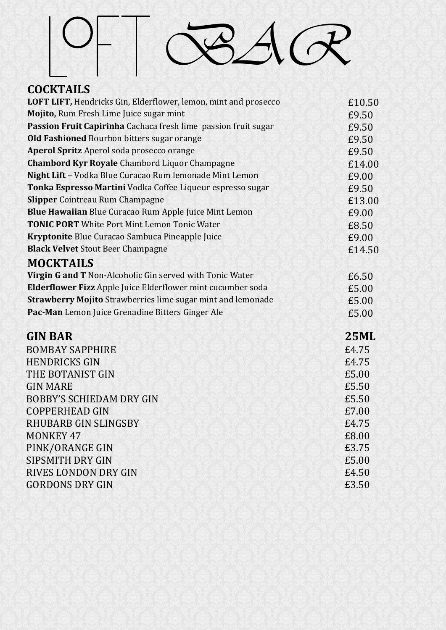

*BAR*

## **COCKTAILS**

| LOFT LIFT, Hendricks Gin, Elderflower, lemon, mint and prosecco    | £10.50      |
|--------------------------------------------------------------------|-------------|
| Mojito, Rum Fresh Lime Juice sugar mint                            | £9.50       |
| Passion Fruit Capirinha Cachaca fresh lime passion fruit sugar     | £9.50       |
| <b>Old Fashioned Bourbon bitters sugar orange</b>                  | £9.50       |
| <b>Aperol Spritz</b> Aperol soda prosecco orange                   | £9.50       |
| <b>Chambord Kyr Royale Chambord Liquor Champagne</b>               | £14.00      |
| Night Lift - Vodka Blue Curacao Rum lemonade Mint Lemon            | £9.00       |
| Tonka Espresso Martini Vodka Coffee Liqueur espresso sugar         | £9.50       |
| <b>Slipper</b> Cointreau Rum Champagne                             | £13.00      |
| Blue Hawaiian Blue Curacao Rum Apple Juice Mint Lemon              | £9.00       |
| <b>TONIC PORT</b> White Port Mint Lemon Tonic Water                | £8.50       |
| Kryptonite Blue Curacao Sambuca Pineapple Juice                    | £9.00       |
| <b>Black Velvet</b> Stout Beer Champagne                           | £14.50      |
| <b>MOCKTAILS</b>                                                   |             |
| Virgin G and T Non-Alcoholic Gin served with Tonic Water           | £6.50       |
| Elderflower Fizz Apple Juice Elderflower mint cucumber soda        | £5.00       |
| <b>Strawberry Mojito Strawberries lime sugar mint and lemonade</b> | £5.00       |
| Pac-Man Lemon Juice Grenadine Bitters Ginger Ale                   | £5.00       |
| <b>GIN BAR</b>                                                     | <b>25ML</b> |
| <b>BOMBAY SAPPHIRE</b>                                             | £4.75       |
| <b>HENDRICKS GIN</b>                                               | £4.75       |
| THE BOTANIST GIN                                                   | £5.00       |
| <b>GIN MARE</b>                                                    | £5.50       |
| <b>BOBBY'S SCHIEDAM DRY GIN</b>                                    | £5.50       |
| <b>COPPERHEAD GIN</b>                                              | £7.00       |
| <b>RHUBARB GIN SLINGSBY</b>                                        | £4.75       |
| <b>MONKEY 47</b>                                                   | £8.00       |
| PINK/ORANGE GIN                                                    | £3.75       |
| <b>SIPSMITH DRY GIN</b>                                            | £5.00       |
| RIVES LONDON DRY GIN                                               | £4.50       |
| <b>GORDONS DRY GIN</b>                                             | £3.50       |
|                                                                    |             |